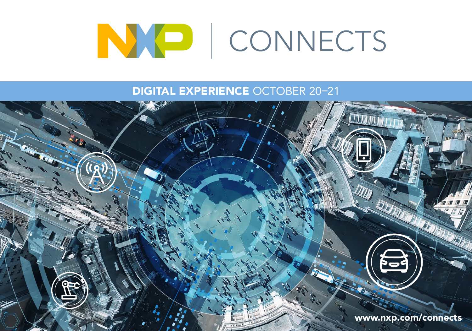

DIGITAL EXPERIENCE OCTOBER 20–21